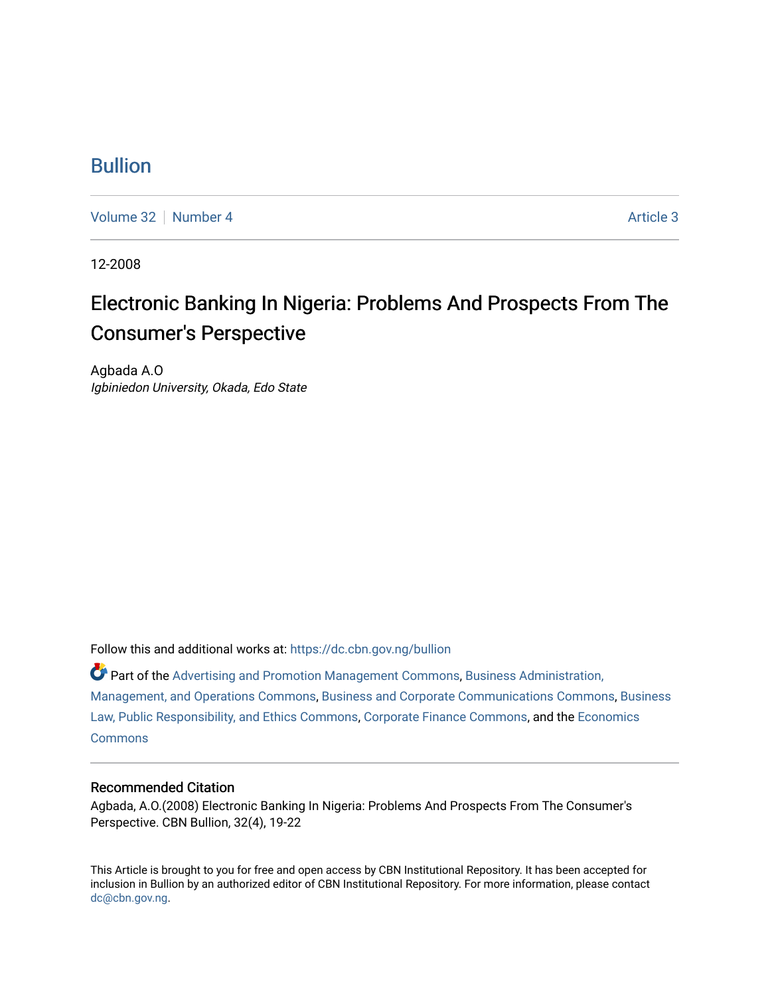### [Bullion](https://dc.cbn.gov.ng/bullion)

[Volume 32](https://dc.cbn.gov.ng/bullion/vol32) [Number 4](https://dc.cbn.gov.ng/bullion/vol32/iss4) [Article 3](https://dc.cbn.gov.ng/bullion/vol32/iss4/3) Article 3

12-2008

## Electronic Banking In Nigeria: Problems And Prospects From The Consumer's Perspective

Agbada A.O Igbiniedon University, Okada, Edo State

Follow this and additional works at: [https://dc.cbn.gov.ng/bullion](https://dc.cbn.gov.ng/bullion?utm_source=dc.cbn.gov.ng%2Fbullion%2Fvol32%2Fiss4%2F3&utm_medium=PDF&utm_campaign=PDFCoverPages) 

Part of the [Advertising and Promotion Management Commons,](http://network.bepress.com/hgg/discipline/626?utm_source=dc.cbn.gov.ng%2Fbullion%2Fvol32%2Fiss4%2F3&utm_medium=PDF&utm_campaign=PDFCoverPages) [Business Administration,](http://network.bepress.com/hgg/discipline/623?utm_source=dc.cbn.gov.ng%2Fbullion%2Fvol32%2Fiss4%2F3&utm_medium=PDF&utm_campaign=PDFCoverPages) [Management, and Operations Commons](http://network.bepress.com/hgg/discipline/623?utm_source=dc.cbn.gov.ng%2Fbullion%2Fvol32%2Fiss4%2F3&utm_medium=PDF&utm_campaign=PDFCoverPages), [Business and Corporate Communications Commons](http://network.bepress.com/hgg/discipline/627?utm_source=dc.cbn.gov.ng%2Fbullion%2Fvol32%2Fiss4%2F3&utm_medium=PDF&utm_campaign=PDFCoverPages), [Business](http://network.bepress.com/hgg/discipline/628?utm_source=dc.cbn.gov.ng%2Fbullion%2Fvol32%2Fiss4%2F3&utm_medium=PDF&utm_campaign=PDFCoverPages)  [Law, Public Responsibility, and Ethics Commons,](http://network.bepress.com/hgg/discipline/628?utm_source=dc.cbn.gov.ng%2Fbullion%2Fvol32%2Fiss4%2F3&utm_medium=PDF&utm_campaign=PDFCoverPages) [Corporate Finance Commons,](http://network.bepress.com/hgg/discipline/629?utm_source=dc.cbn.gov.ng%2Fbullion%2Fvol32%2Fiss4%2F3&utm_medium=PDF&utm_campaign=PDFCoverPages) and the [Economics](http://network.bepress.com/hgg/discipline/340?utm_source=dc.cbn.gov.ng%2Fbullion%2Fvol32%2Fiss4%2F3&utm_medium=PDF&utm_campaign=PDFCoverPages)  **[Commons](http://network.bepress.com/hgg/discipline/340?utm_source=dc.cbn.gov.ng%2Fbullion%2Fvol32%2Fiss4%2F3&utm_medium=PDF&utm_campaign=PDFCoverPages)** 

#### Recommended Citation

Agbada, A.O.(2008) Electronic Banking In Nigeria: Problems And Prospects From The Consumer's Perspective. CBN Bullion, 32(4), 19-22

This Article is brought to you for free and open access by CBN Institutional Repository. It has been accepted for inclusion in Bullion by an authorized editor of CBN Institutional Repository. For more information, please contact [dc@cbn.gov.ng](mailto:dc@cbn.gov.ng).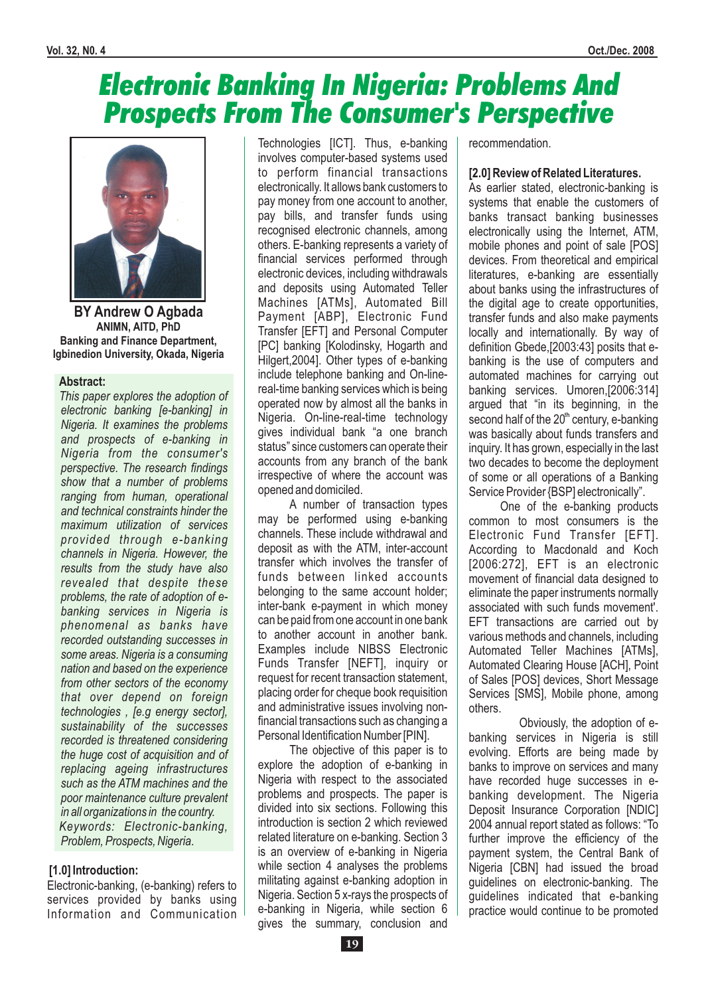# Electronic Banking In Nigeria: Problems And Prospects From The Consumer's Perspective



**BY Andrew O Agbada ANIMN, AITD, PhD Banking and Finance Department, Igbinedion University, Okada, Nigeria**

#### **Abstract:**

*This paper explores the adoption of electronic banking [e-banking] in Nigeria. It examines the problems and prospects of e-banking in Nigeria from the consumer's perspective. The research findings show that a number of problems ranging from human, operational and technical constraints hinder the maximum utilization of services provided through e-banking channels in Nigeria. However, the results from the study have also revealed that despite these problems, the rate of adoption of ebanking services in Nigeria is phenomenal as banks have recorded outstanding successes in some areas. Nigeria is a consuming nation and based on the experience from other sectors of the economy that over depend on foreign technologies , [e.g energy sector], sustainability of the successes recorded is threatened considering the huge cost of acquisition and of replacing ageing infrastructures such as the ATM machines and the poor maintenance culture prevalent in all organizations in the country. Keywords: Electronic-banking, Problem, Prospects, Nigeria*.

#### **[1.0] Introduction:**

Electronic-banking, (e-banking) refers to services provided by banks using Information and Communication

Technologies [ICT]. Thus, e-banking involves computer-based systems used to perform financial transactions electronically. It allows bank customers to pay money from one account to another, pay bills, and transfer funds using recognised electronic channels, among others. E-banking represents a variety of financial services performed through electronic devices, including withdrawals and deposits using Automated Teller Machines [ATMs], Automated Bill Payment [ABP], Electronic Fund Transfer [EFT] and Personal Computer [PC] banking [Kolodinsky, Hogarth and Hilgert,2004]. Other types of e-banking include telephone banking and On-linereal-time banking services which is being operated now by almost all the banks in Nigeria. On-line-real-time technology gives individual bank "a one branch status" since customers can operate their accounts from any branch of the bank irrespective of where the account was opened and domiciled.

A number of transaction types may be performed using e-banking channels. These include withdrawal and deposit as with the ATM, inter-account transfer which involves the transfer of funds between linked accounts belonging to the same account holder; inter-bank e-payment in which money can be paid from one account in one bank to another account in another bank. Examples include NIBSS Electronic Funds Transfer [NEFT], inquiry or request for recent transaction statement, placing order for cheque book requisition and administrative issues involving nonfinancial transactions such as changing a Personal Identification Number [PIN].

The objective of this paper is to explore the adoption of e-banking in Nigeria with respect to the associated problems and prospects. The paper is divided into six sections. Following this introduction is section 2 which reviewed related literature on e-banking. Section 3 is an overview of e-banking in Nigeria while section 4 analyses the problems militating against e-banking adoption in Nigeria. Section 5 x-rays the prospects of e-banking in Nigeria, while section 6 gives the summary, conclusion and

recommendation.

#### **[2.0] Review of Related Literatures.**

As earlier stated, electronic-banking is systems that enable the customers of banks transact banking businesses electronically using the Internet, ATM, mobile phones and point of sale [POS] devices. From theoretical and empirical literatures, e-banking are essentially about banks using the infrastructures of the digital age to create opportunities, transfer funds and also make payments locally and internationally. By way of definition Gbede,[2003:43] posits that ebanking is the use of computers and automated machines for carrying out banking services. Umoren,[2006:314] argued that "in its beginning, in the second half of the 20<sup>th</sup> century, e-banking was basically about funds transfers and inquiry. It has grown, especially in the last two decades to become the deployment of some or all operations of a Banking Service Provider {BSP] electronically".

One of the e-banking products common to most consumers is the Electronic Fund Transfer [EFT]. According to Macdonald and Koch [2006:272], EFT is an electronic movement of financial data designed to eliminate the paper instruments normally associated with such funds movement'. EFT transactions are carried out by various methods and channels, including Automated Teller Machines [ATMs], Automated Clearing House [ACH], Point of Sales [POS] devices, Short Message Services [SMS], Mobile phone, among others.

Obviously, the adoption of ebanking services in Nigeria is still evolving. Efforts are being made by banks to improve on services and many have recorded huge successes in ebanking development. The Nigeria Deposit Insurance Corporation [NDIC] 2004 annual report stated as follows: "To further improve the efficiency of the payment system, the Central Bank of Nigeria [CBN] had issued the broad guidelines on electronic-banking. The guidelines indicated that e-banking practice would continue to be promoted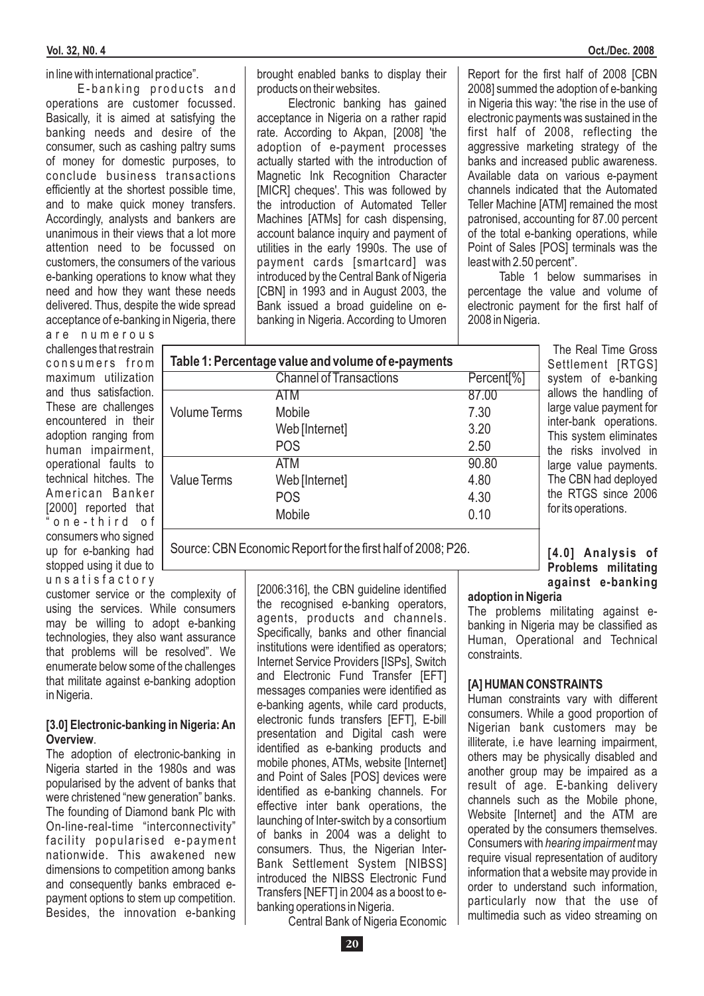#### in line with international practice".

E-banking products and operations are customer focussed. Basically, it is aimed at satisfying the banking needs and desire of the consumer, such as cashing paltry sums of money for domestic purposes, to conclude business transactions efficiently at the shortest possible time, and to make quick money transfers. Accordingly, analysts and bankers are unanimous in their views that a lot more attention need to be focussed on customers, the consumers of the various e-banking operations to know what they need and how they want these needs delivered. Thus, despite the wide spread acceptance of e-banking in Nigeria, there

are numerous challenges that restrain  $\Box$ consumers from maximum utilization and thus satisfaction. These are challenges encountered in their adoption ranging from human impairment, operational faults to technical hitches. The American Banker [2000] reported that " o n e - t h i r d o f consumers who signed up for e-banking had stopped using it due to u n s a t i s f a c t o r y

customer service or the complexity of using the services. While consumers may be willing to adopt e-banking technologies, they also want assurance that problems will be resolved". We enumerate below some of the challenges that militate against e-banking adoption in Nigeria.

#### . **Overview [3.0] Electronic-banking in Nigeria: An**

The adoption of electronic-banking in Nigeria started in the 1980s and was popularised by the advent of banks that were christened "new generation" banks. The founding of Diamond bank Plc with On-line-real-time "interconnectivity" facility popularised e-payment nationwide. This awakened new dimensions to competition among banks and consequently banks embraced epayment options to stem up competition. Besides, the innovation e-banking

brought enabled banks to display their products on their websites.

Electronic banking has gained acceptance in Nigeria on a rather rapid rate. According to Akpan, [2008] 'the adoption of e-payment processes actually started with the introduction of Magnetic Ink Recognition Character [MICR] cheques'. This was followed by the introduction of Automated Teller Machines [ATMs] for cash dispensing, account balance inquiry and payment of utilities in the early 1990s. The use of payment cards [smartcard] was introduced by the Central Bank of Nigeria [CBN] in 1993 and in August 2003, the Bank issued a broad guideline on ebanking in Nigeria. According to Umoren

Report for the first half of 2008 [CBN 2008] summed the adoption of e-banking in Nigeria this way: 'the rise in the use of electronic payments was sustained in the first half of 2008, reflecting the aggressive marketing strategy of the banks and increased public awareness. Available data on various e-payment channels indicated that the Automated Teller Machine [ATM] remained the most patronised, accounting for 87.00 percent of the total e-banking operations, while Point of Sales [POS] terminals was the least with 2.50 percent".

Table 1 below summarises in percentage the value and volume of electronic payment for the first half of 2008 in Nigeria.

| Table 1: Percentage value and volume of e-payments |                                |                        |
|----------------------------------------------------|--------------------------------|------------------------|
|                                                    | <b>Channel of Transactions</b> | Percent <sup>[%]</sup> |
|                                                    | ATM                            | 87.00                  |
| <b>Volume Terms</b>                                | Mobile                         | 7.30                   |
|                                                    | Web [Internet]                 | 3.20                   |
|                                                    | <b>POS</b>                     | 2.50                   |
|                                                    | ATM                            | 90.80                  |
| <b>Value Terms</b>                                 | Web [Internet]                 | 4.80                   |
|                                                    | <b>POS</b>                     | 4.30                   |
|                                                    | Mobile                         | 0.10                   |
|                                                    |                                |                        |

Source: CBN Economic Report for the first half of 2008; P26.

[2006:316], the CBN quideline identified the recognised e-banking operators, agents, products and channels. Specifically, banks and other financial institutions were identified as operators; Internet Service Providers [ISPs], Switch and Electronic Fund Transfer [EFT] messages companies were identified as e-banking agents, while card products, electronic funds transfers [EFT], E-bill presentation and Digital cash were identified as e-banking products and mobile phones, ATMs, website [Internet] and Point of Sales [POS] devices were identified as e-banking channels. For effective inter bank operations, the launching of Inter-switch by a consortium of banks in 2004 was a delight to consumers. Thus, the Nigerian Inter-Bank Settlement System [NIBSS] introduced the NIBSS Electronic Fund Transfers [NEFT] in 2004 as a boost to ebanking operations in Nigeria.

**[4.0] Analysis of Problems militating against e-banking**

The Real Time Gross Settlement [RTGS] system of e-banking allows the handling of large value payment for inter-bank operations. This system eliminates the risks involved in large value payments. The CBN had deployed the RTGS since 2006 for its operations.

#### **adoption in Nigeria**

The problems militating against ebanking in Nigeria may be classified as Human, Operational and Technical constraints.

#### **[A] HUMAN CONSTRAINTS**

Human constraints vary with different consumers. While a good proportion of Nigerian bank customers may be illiterate, i.e have learning impairment, others may be physically disabled and another group may be impaired as a result of age. E-banking delivery channels such as the Mobile phone, Website *Internet* and the ATM are operated by the consumers themselves. Consumers with hearing impairment may require visual representation of auditory information that a website may provide in order to understand such information, particularly now that the use of multimedia such as video streaming on

Central Bank of Nigeria Economic

**20**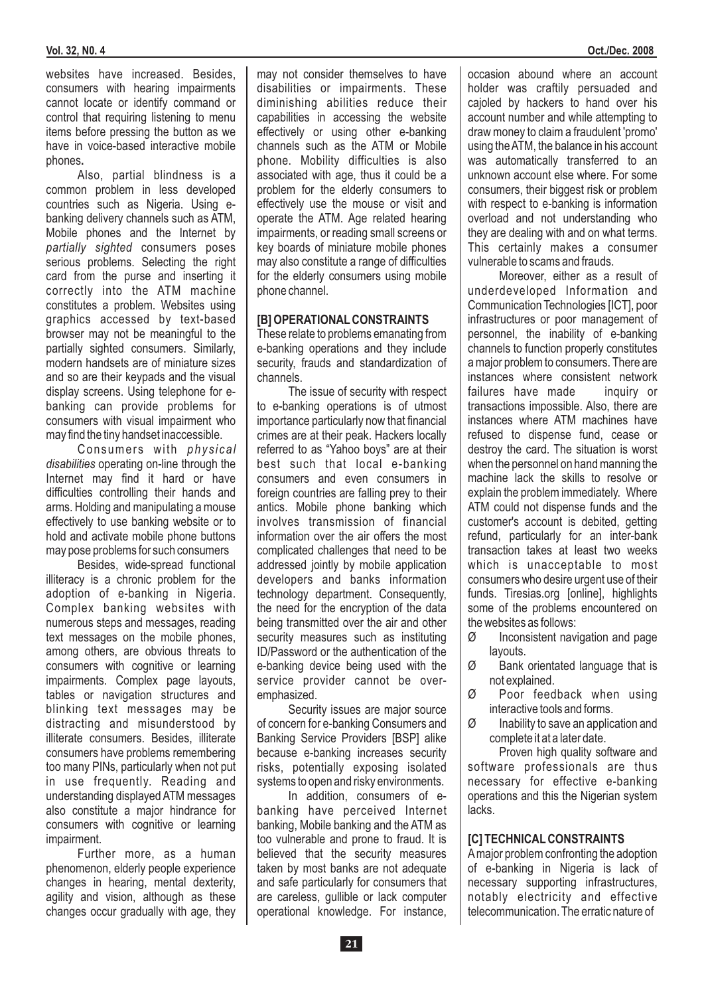websites have increased. Besides, consumers with hearing impairments cannot locate or identify command or control that requiring listening to menu items before pressing the button as we have in voice-based interactive mobile phones **.**

Also, partial blindness is a common problem in less developed countries such as Nigeria. Using ebanking delivery channels such as ATM, Mobile phones and the Internet by partially sighted consumers poses serious problems. Selecting the right card from the purse and inserting it correctly into the ATM machine constitutes a problem. Websites using graphics accessed by text-based browser may not be meaningful to the partially sighted consumers. Similarly, modern handsets are of miniature sizes and so are their keypads and the visual display screens. Using telephone for ebanking can provide problems for consumers with visual impairment who may find the tiny handset inaccessible.

Consumers with *physical* disabilities operating on-line through the Internet may find it hard or have difficulties controlling their hands and arms. Holding and manipulating a mouse effectively to use banking website or to hold and activate mobile phone buttons may pose problems for such consumers

Besides, wide-spread functional illiteracy is a chronic problem for the adoption of e-banking in Nigeria. Complex banking websites with numerous steps and messages, reading text messages on the mobile phones, among others, are obvious threats to consumers with cognitive or learning impairments. Complex page layouts, tables or navigation structures and blinking text messages may be distracting and misunderstood by illiterate consumers. Besides, illiterate consumers have problems remembering too many PINs, particularly when not put in use frequently. Reading and understanding displayed ATM messages also constitute a major hindrance for consumers with cognitive or learning impairment.

Further more, as a human phenomenon, elderly people experience changes in hearing, mental dexterity, agility and vision, although as these changes occur gradually with age, they

may not consider themselves to have disabilities or impairments. These diminishing abilities reduce their capabilities in accessing the website effectively or using other e-banking channels such as the ATM or Mobile phone. Mobility difficulties is also associated with age, thus it could be a problem for the elderly consumers to effectively use the mouse or visit and operate the ATM. Age related hearing impairments, or reading small screens or key boards of miniature mobile phones may also constitute a range of difficulties for the elderly consumers using mobile phone channel.

#### **[B] OPERATIONAL CONSTRAINTS**

These relate to problems emanating from e-banking operations and they include security, frauds and standardization of channels.

The issue of security with respect to e-banking operations is of utmost importance particularly now that financial crimes are at their peak. Hackers locally referred to as "Yahoo boys" are at their best such that local e-banking consumers and even consumers in foreign countries are falling prey to their antics. Mobile phone banking which involves transmission of financial information over the air offers the most complicated challenges that need to be addressed jointly by mobile application developers and banks information technology department. Consequently, the need for the encryption of the data being transmitted over the air and other security measures such as instituting ID/Password or the authentication of the e-banking device being used with the service provider cannot be overemphasized.

Security issues are major source of concern for e-banking Consumers and Banking Service Providers [BSP] alike because e-banking increases security risks, potentially exposing isolated systems to open and risky environments.

In addition, consumers of ebanking have perceived Internet banking, Mobile banking and the ATM as too vulnerable and prone to fraud. It is believed that the security measures taken by most banks are not adequate and safe particularly for consumers that are careless, gullible or lack computer operational knowledge. For instance,

occasion abound where an account holder was craftily persuaded and cajoled by hackers to hand over his account number and while attempting to draw money to claim a fraudulent 'promo' using theATM, the balance in his account was automatically transferred to an unknown account else where. For some consumers, their biggest risk or problem with respect to e-banking is information overload and not understanding who they are dealing with and on what terms. This certainly makes a consumer vulnerable to scams and frauds.

Moreover, either as a result of underdeveloped Information and Communication Technologies [ICT], poor infrastructures or poor management of personnel, the inability of e-banking channels to function properly constitutes a major problem to consumers. There are instances where consistent network failures have made inquiry or transactions impossible. Also, there are instances where ATM machines have refused to dispense fund, cease or destroy the card. The situation is worst when the personnel on hand manning the machine lack the skills to resolve or explain the problem immediately. Where ATM could not dispense funds and the customer's account is debited, getting refund, particularly for an inter-bank transaction takes at least two weeks which is unacceptable to most consumers who desire urgent use of their funds. Tiresias.org [online], highlights some of the problems encountered on the websites as follows:

- $\varnothing$  Inconsistent navigation and page layouts.
- Ø Bank orientated language that is not explained.
- Ø Poor feedback when using interactive tools and forms.
- $\varnothing$  Inability to save an application and complete it at a later date.

Proven high quality software and software professionals are thus necessary for effective e-banking operations and this the Nigerian system lacks.

#### **[C] TECHNICAL CONSTRAINTS**

Amajor problem confronting the adoption of e-banking in Nigeria is lack of necessary supporting infrastructures, notably electricity and effective telecommunication. The erratic nature of